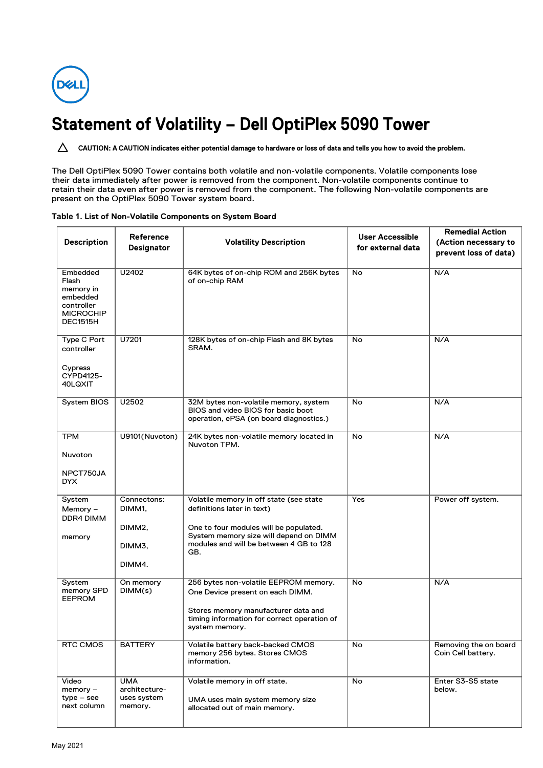

## **Statement of Volatility – Dell OptiPlex 5090 Tower**

CAUTION: A CAUTION indicates either potential damage to hardware or loss of data and tells you how to avoid the problem.

The Dell OptiPlex 5090 Tower contains both volatile and non-volatile components. Volatile components lose their data immediately after power is removed from the component. Non-volatile components continue to retain their data even after power is removed from the component. The following Non-volatile components are present on the OptiPlex 5090 Tower system board.

|                       |                                |                                                                                   | User Accessible   | <b>Remedial Action</b>      |  |
|-----------------------|--------------------------------|-----------------------------------------------------------------------------------|-------------------|-----------------------------|--|
| <b>Description</b>    | Reference<br><b>Designator</b> | <b>Volatility Description</b>                                                     |                   | (Action necessary to        |  |
|                       |                                |                                                                                   | for external data | prevent loss of data)       |  |
|                       |                                |                                                                                   |                   |                             |  |
| Embedded              | U2402                          | 64K bytes of on-chip ROM and 256K bytes                                           | No                | N/A                         |  |
| Flash                 |                                | of on-chip RAM                                                                    |                   |                             |  |
| memory in<br>embedded |                                |                                                                                   |                   |                             |  |
| controller            |                                |                                                                                   |                   |                             |  |
| <b>MICROCHIP</b>      |                                |                                                                                   |                   |                             |  |
| <b>DEC1515H</b>       |                                |                                                                                   |                   |                             |  |
|                       |                                |                                                                                   |                   |                             |  |
| Type C Port           | U7201                          | 128K bytes of on-chip Flash and 8K bytes<br>SRAM.                                 | No                | N/A                         |  |
| controller            |                                |                                                                                   |                   |                             |  |
| Cypress               |                                |                                                                                   |                   |                             |  |
| CYPD4125-             |                                |                                                                                   |                   |                             |  |
| 40LQXIT               |                                |                                                                                   |                   |                             |  |
|                       |                                |                                                                                   |                   |                             |  |
| System BIOS           | U2502                          | 32M bytes non-volatile memory, system                                             | No                | N/A                         |  |
|                       |                                | BIOS and video BIOS for basic boot<br>operation, ePSA (on board diagnostics.)     |                   |                             |  |
|                       |                                |                                                                                   |                   |                             |  |
| TPM                   | U9101(Nuvoton)                 | 24K bytes non-volatile memory located in                                          | No                | N/A                         |  |
|                       |                                | Nuvoton TPM.                                                                      |                   |                             |  |
| <b>Nuvoton</b>        |                                |                                                                                   |                   |                             |  |
|                       |                                |                                                                                   |                   |                             |  |
| NPCT750JA<br>DYX.     |                                |                                                                                   |                   |                             |  |
|                       |                                |                                                                                   |                   |                             |  |
| System                | Connectons:                    | Volatile memory in off state (see state                                           | Yes               | Power off system.           |  |
| Memory -              | DIMM1,                         | definitions later in text)                                                        |                   |                             |  |
| DDR4 DIMM             |                                |                                                                                   |                   |                             |  |
|                       | DIMM <sub>2</sub> ,            | One to four modules will be populated.                                            |                   |                             |  |
| memory                |                                | System memory size will depend on DIMM<br>modules and will be between 4 GB to 128 |                   |                             |  |
|                       | DIMM3,                         | GB.                                                                               |                   |                             |  |
|                       | DIMM4.                         |                                                                                   |                   |                             |  |
|                       |                                |                                                                                   |                   |                             |  |
| System                | On memory                      | 256 bytes non-volatile EEPROM memory.                                             | No                | N/A                         |  |
| memory SPD            | DIMM(s)                        | One Device present on each DIMM.                                                  |                   |                             |  |
| <b>EEPROM</b>         |                                |                                                                                   |                   |                             |  |
|                       |                                | Stores memory manufacturer data and                                               |                   |                             |  |
|                       |                                | timing information for correct operation of<br>system memory.                     |                   |                             |  |
|                       |                                |                                                                                   |                   |                             |  |
| RTC CMOS              | <b>BATTERY</b>                 | Volatile battery back-backed CMOS                                                 | No                | Removing the on board       |  |
|                       |                                | memory 256 bytes. Stores CMOS                                                     |                   | Coin Cell battery.          |  |
|                       |                                | information.                                                                      |                   |                             |  |
|                       |                                |                                                                                   |                   |                             |  |
| Video<br>$memory -$   | <b>UMA</b><br>architecture-    | Volatile memory in off state.                                                     | No                | Enter S3-S5 state<br>below. |  |
| $type - see$          | uses system                    | UMA uses main system memory size                                                  |                   |                             |  |
| next column           | memory.                        | allocated out of main memory.                                                     |                   |                             |  |
|                       |                                |                                                                                   |                   |                             |  |